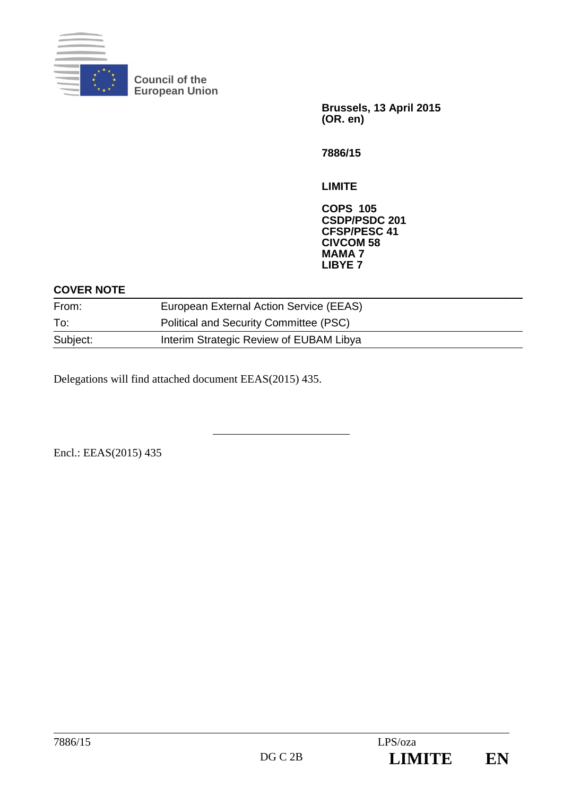

**Council of the European Union** 

> **Brussels, 13 April 2015 (OR. en)**

**7886/15** 

**LIMITE** 

**COPS 105 CSDP/PSDC 201 CFSP/PESC 41 CIVCOM 58 MAMA 7 LIBYE 7**

#### **COVER NOTE**

| From:    | European External Action Service (EEAS) |
|----------|-----------------------------------------|
| To:      | Political and Security Committee (PSC)  |
| Subject: | Interim Strategic Review of EUBAM Libya |

Delegations will find attached document EEAS(2015) 435.

Encl.: EEAS(2015) 435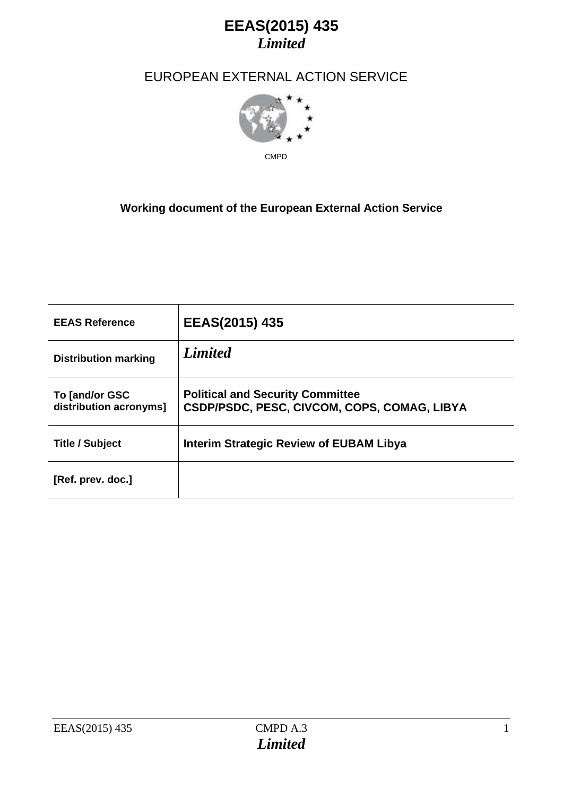### EUROPEAN EXTERNAL ACTION SERVICE



### **Working document of the European External Action Service**

| <b>EEAS Reference</b>                    | EEAS(2015) 435                                                                         |
|------------------------------------------|----------------------------------------------------------------------------------------|
| <b>Distribution marking</b>              | <b>Limited</b>                                                                         |
| To [and/or GSC<br>distribution acronyms] | <b>Political and Security Committee</b><br>CSDP/PSDC, PESC, CIVCOM, COPS, COMAG, LIBYA |
| <b>Title / Subject</b>                   | <b>Interim Strategic Review of EUBAM Libya</b>                                         |
| [Ref. prev. doc.]                        |                                                                                        |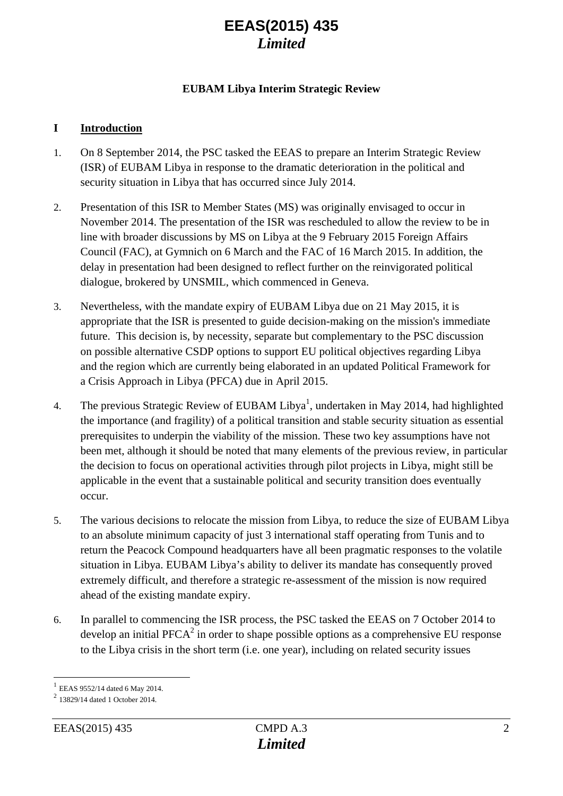#### **EUBAM Libya Interim Strategic Review**

#### **I Introduction**

- 1. On 8 September 2014, the PSC tasked the EEAS to prepare an Interim Strategic Review (ISR) of EUBAM Libya in response to the dramatic deterioration in the political and security situation in Libya that has occurred since July 2014.
- 2. Presentation of this ISR to Member States (MS) was originally envisaged to occur in November 2014. The presentation of the ISR was rescheduled to allow the review to be in line with broader discussions by MS on Libya at the 9 February 2015 Foreign Affairs Council (FAC), at Gymnich on 6 March and the FAC of 16 March 2015. In addition, the delay in presentation had been designed to reflect further on the reinvigorated political dialogue, brokered by UNSMIL, which commenced in Geneva.
- 3. Nevertheless, with the mandate expiry of EUBAM Libya due on 21 May 2015, it is appropriate that the ISR is presented to guide decision-making on the mission's immediate future. This decision is, by necessity, separate but complementary to the PSC discussion on possible alternative CSDP options to support EU political objectives regarding Libya and the region which are currently being elaborated in an updated Political Framework for a Crisis Approach in Libya (PFCA) due in April 2015.
- 4. The previous Strategic Review of EUBAM Libya<sup>1</sup>, undertaken in May 2014, had highlighted the importance (and fragility) of a political transition and stable security situation as essential prerequisites to underpin the viability of the mission. These two key assumptions have not been met, although it should be noted that many elements of the previous review, in particular the decision to focus on operational activities through pilot projects in Libya, might still be applicable in the event that a sustainable political and security transition does eventually occur.
- 5. The various decisions to relocate the mission from Libya, to reduce the size of EUBAM Libya to an absolute minimum capacity of just 3 international staff operating from Tunis and to return the Peacock Compound headquarters have all been pragmatic responses to the volatile situation in Libya. EUBAM Libya's ability to deliver its mandate has consequently proved extremely difficult, and therefore a strategic re-assessment of the mission is now required ahead of the existing mandate expiry.
- 6. In parallel to commencing the ISR process, the PSC tasked the EEAS on 7 October 2014 to develop an initial PFCA<sup>2</sup> in order to shape possible options as a comprehensive EU response to the Libya crisis in the short term (i.e. one year), including on related security issues

 $\overline{a}$ 

EEAS 9552/14 dated 6 May 2014.

 $^{2}$  13829/14 dated 1 October 2014.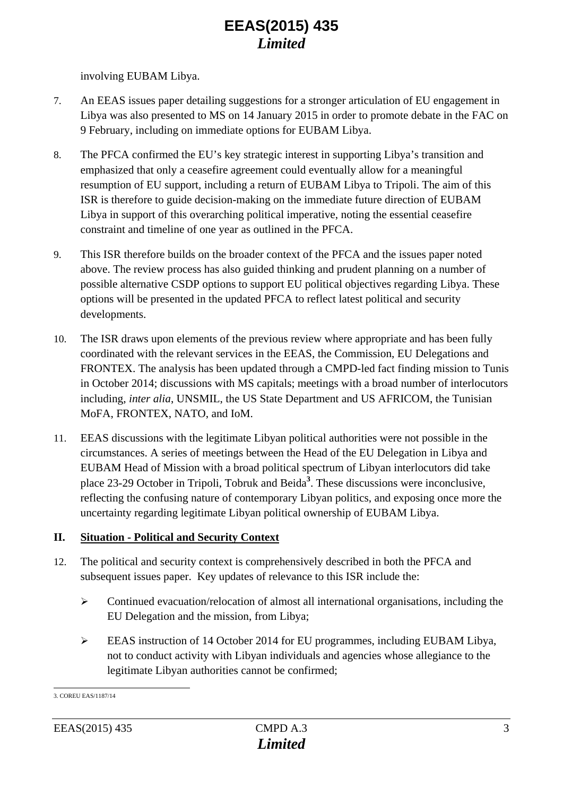involving EUBAM Libya.

- 7. An EEAS issues paper detailing suggestions for a stronger articulation of EU engagement in Libya was also presented to MS on 14 January 2015 in order to promote debate in the FAC on 9 February, including on immediate options for EUBAM Libya.
- 8. The PFCA confirmed the EU's key strategic interest in supporting Libya's transition and emphasized that only a ceasefire agreement could eventually allow for a meaningful resumption of EU support, including a return of EUBAM Libya to Tripoli. The aim of this ISR is therefore to guide decision-making on the immediate future direction of EUBAM Libya in support of this overarching political imperative, noting the essential ceasefire constraint and timeline of one year as outlined in the PFCA.
- 9. This ISR therefore builds on the broader context of the PFCA and the issues paper noted above. The review process has also guided thinking and prudent planning on a number of possible alternative CSDP options to support EU political objectives regarding Libya. These options will be presented in the updated PFCA to reflect latest political and security developments.
- 10. The ISR draws upon elements of the previous review where appropriate and has been fully coordinated with the relevant services in the EEAS, the Commission, EU Delegations and FRONTEX. The analysis has been updated through a CMPD-led fact finding mission to Tunis in October 2014; discussions with MS capitals; meetings with a broad number of interlocutors including, *inter alia*, UNSMIL, the US State Department and US AFRICOM, the Tunisian MoFA, FRONTEX, NATO, and IoM.
- 11. EEAS discussions with the legitimate Libyan political authorities were not possible in the circumstances. A series of meetings between the Head of the EU Delegation in Libya and EUBAM Head of Mission with a broad political spectrum of Libyan interlocutors did take place 23-29 October in Tripoli, Tobruk and Beida**<sup>3</sup>** . These discussions were inconclusive, reflecting the confusing nature of contemporary Libyan politics, and exposing once more the uncertainty regarding legitimate Libyan political ownership of EUBAM Libya.

#### **II. Situation - Political and Security Context**

- 12. The political and security context is comprehensively described in both the PFCA and subsequent issues paper. Key updates of relevance to this ISR include the:
	- Continued evacuation/relocation of almost all international organisations, including the EU Delegation and the mission, from Libya;
	- EEAS instruction of 14 October 2014 for EU programmes, including EUBAM Libya, not to conduct activity with Libyan individuals and agencies whose allegiance to the legitimate Libyan authorities cannot be confirmed;

 3. COREU EAS/1187/14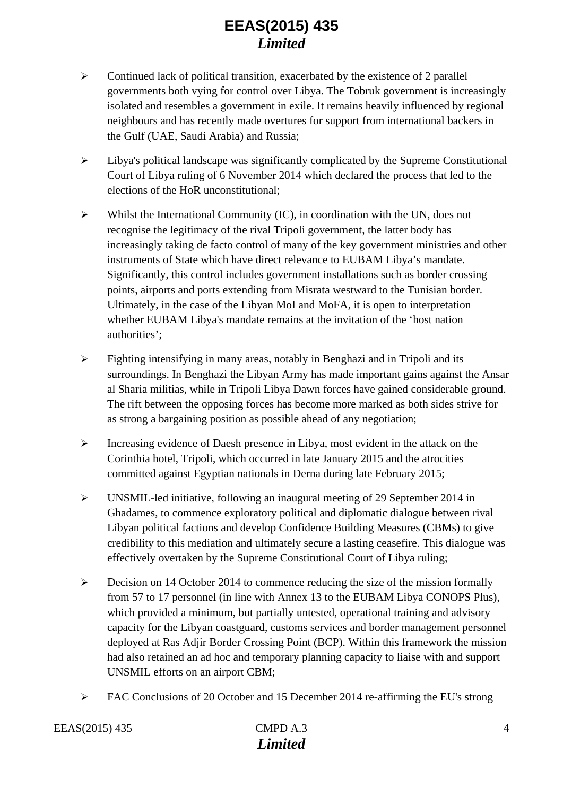- $\triangleright$  Continued lack of political transition, exacerbated by the existence of 2 parallel governments both vying for control over Libya. The Tobruk government is increasingly isolated and resembles a government in exile. It remains heavily influenced by regional neighbours and has recently made overtures for support from international backers in the Gulf (UAE, Saudi Arabia) and Russia;
- $\triangleright$  Libya's political landscape was significantly complicated by the Supreme Constitutional Court of Libya ruling of 6 November 2014 which declared the process that led to the elections of the HoR unconstitutional;
- $\triangleright$  Whilst the International Community (IC), in coordination with the UN, does not recognise the legitimacy of the rival Tripoli government, the latter body has increasingly taking de facto control of many of the key government ministries and other instruments of State which have direct relevance to EUBAM Libya's mandate. Significantly, this control includes government installations such as border crossing points, airports and ports extending from Misrata westward to the Tunisian border. Ultimately, in the case of the Libyan MoI and MoFA, it is open to interpretation whether EUBAM Libya's mandate remains at the invitation of the 'host nation authorities';
- $\triangleright$  Fighting intensifying in many areas, notably in Benghazi and in Tripoli and its surroundings. In Benghazi the Libyan Army has made important gains against the Ansar al Sharia militias, while in Tripoli Libya Dawn forces have gained considerable ground. The rift between the opposing forces has become more marked as both sides strive for as strong a bargaining position as possible ahead of any negotiation;
- $\triangleright$  Increasing evidence of Daesh presence in Libya, most evident in the attack on the Corinthia hotel, Tripoli, which occurred in late January 2015 and the atrocities committed against Egyptian nationals in Derna during late February 2015;
- UNSMIL-led initiative, following an inaugural meeting of 29 September 2014 in Ghadames, to commence exploratory political and diplomatic dialogue between rival Libyan political factions and develop Confidence Building Measures (CBMs) to give credibility to this mediation and ultimately secure a lasting ceasefire. This dialogue was effectively overtaken by the Supreme Constitutional Court of Libya ruling;
- $\triangleright$  Decision on 14 October 2014 to commence reducing the size of the mission formally from 57 to 17 personnel (in line with Annex 13 to the EUBAM Libya CONOPS Plus), which provided a minimum, but partially untested, operational training and advisory capacity for the Libyan coastguard, customs services and border management personnel deployed at Ras Adjir Border Crossing Point (BCP). Within this framework the mission had also retained an ad hoc and temporary planning capacity to liaise with and support UNSMIL efforts on an airport CBM;
- FAC Conclusions of 20 October and 15 December 2014 re-affirming the EU's strong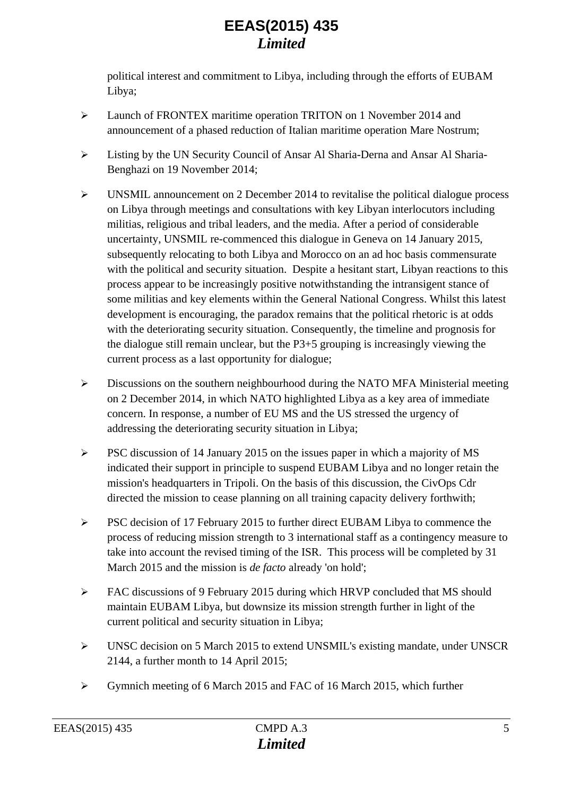political interest and commitment to Libya, including through the efforts of EUBAM Libya;

- Launch of FRONTEX maritime operation TRITON on 1 November 2014 and announcement of a phased reduction of Italian maritime operation Mare Nostrum;
- Listing by the UN Security Council of Ansar Al Sharia-Derna and Ansar Al Sharia-Benghazi on 19 November 2014;
- $\triangleright$  UNSMIL announcement on 2 December 2014 to revitalise the political dialogue process on Libya through meetings and consultations with key Libyan interlocutors including militias, religious and tribal leaders, and the media. After a period of considerable uncertainty, UNSMIL re-commenced this dialogue in Geneva on 14 January 2015, subsequently relocating to both Libya and Morocco on an ad hoc basis commensurate with the political and security situation. Despite a hesitant start, Libyan reactions to this process appear to be increasingly positive notwithstanding the intransigent stance of some militias and key elements within the General National Congress. Whilst this latest development is encouraging, the paradox remains that the political rhetoric is at odds with the deteriorating security situation. Consequently, the timeline and prognosis for the dialogue still remain unclear, but the P3+5 grouping is increasingly viewing the current process as a last opportunity for dialogue;
- Discussions on the southern neighbourhood during the NATO MFA Ministerial meeting on 2 December 2014, in which NATO highlighted Libya as a key area of immediate concern. In response, a number of EU MS and the US stressed the urgency of addressing the deteriorating security situation in Libya;
- $\triangleright$  PSC discussion of 14 January 2015 on the issues paper in which a majority of MS indicated their support in principle to suspend EUBAM Libya and no longer retain the mission's headquarters in Tripoli. On the basis of this discussion, the CivOps Cdr directed the mission to cease planning on all training capacity delivery forthwith;
- PSC decision of 17 February 2015 to further direct EUBAM Libya to commence the process of reducing mission strength to 3 international staff as a contingency measure to take into account the revised timing of the ISR. This process will be completed by 31 March 2015 and the mission is *de facto* already 'on hold';
- $\triangleright$  FAC discussions of 9 February 2015 during which HRVP concluded that MS should maintain EUBAM Libya, but downsize its mission strength further in light of the current political and security situation in Libya;
- UNSC decision on 5 March 2015 to extend UNSMIL's existing mandate, under UNSCR 2144, a further month to 14 April 2015;
- Gymnich meeting of 6 March 2015 and FAC of 16 March 2015, which further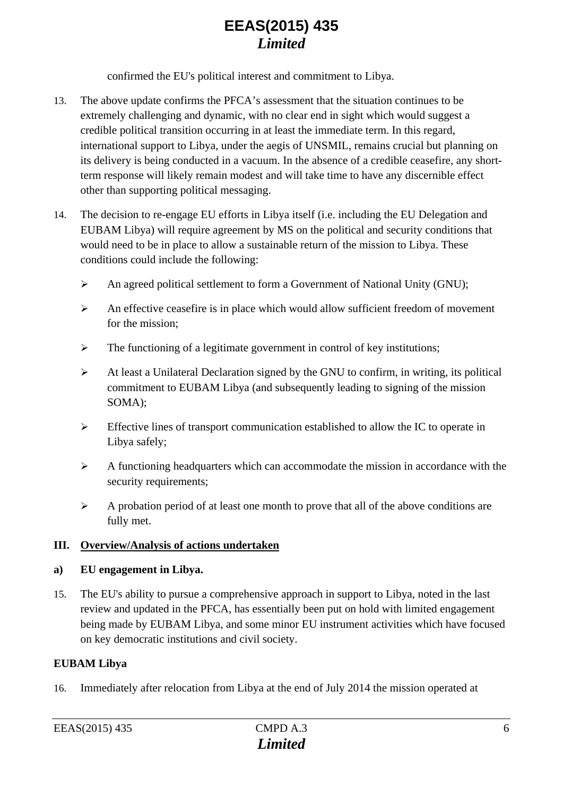confirmed the EU's political interest and commitment to Libya.

- 13. The above update confirms the PFCA's assessment that the situation continues to be extremely challenging and dynamic, with no clear end in sight which would suggest a credible political transition occurring in at least the immediate term. In this regard, international support to Libya, under the aegis of UNSMIL, remains crucial but planning on its delivery is being conducted in a vacuum. In the absence of a credible ceasefire, any shortterm response will likely remain modest and will take time to have any discernible effect other than supporting political messaging.
- 14. The decision to re-engage EU efforts in Libya itself (i.e. including the EU Delegation and EUBAM Libya) will require agreement by MS on the political and security conditions that would need to be in place to allow a sustainable return of the mission to Libya. These conditions could include the following:
	- An agreed political settlement to form a Government of National Unity (GNU);
	- $\triangleright$  An effective ceasefire is in place which would allow sufficient freedom of movement for the mission;
	- $\triangleright$  The functioning of a legitimate government in control of key institutions;
	- At least a Unilateral Declaration signed by the GNU to confirm, in writing, its political commitment to EUBAM Libya (and subsequently leading to signing of the mission SOMA);
	- $\triangleright$  Effective lines of transport communication established to allow the IC to operate in Libya safely;
	- $\triangleright$  A functioning headquarters which can accommodate the mission in accordance with the security requirements:
	- $\triangleright$  A probation period of at least one month to prove that all of the above conditions are fully met.

### **III. Overview/Analysis of actions undertaken**

#### **a) EU engagement in Libya.**

15. The EU's ability to pursue a comprehensive approach in support to Libya, noted in the last review and updated in the PFCA, has essentially been put on hold with limited engagement being made by EUBAM Libya, and some minor EU instrument activities which have focused on key democratic institutions and civil society.

#### **EUBAM Libya**

16. Immediately after relocation from Libya at the end of July 2014 the mission operated at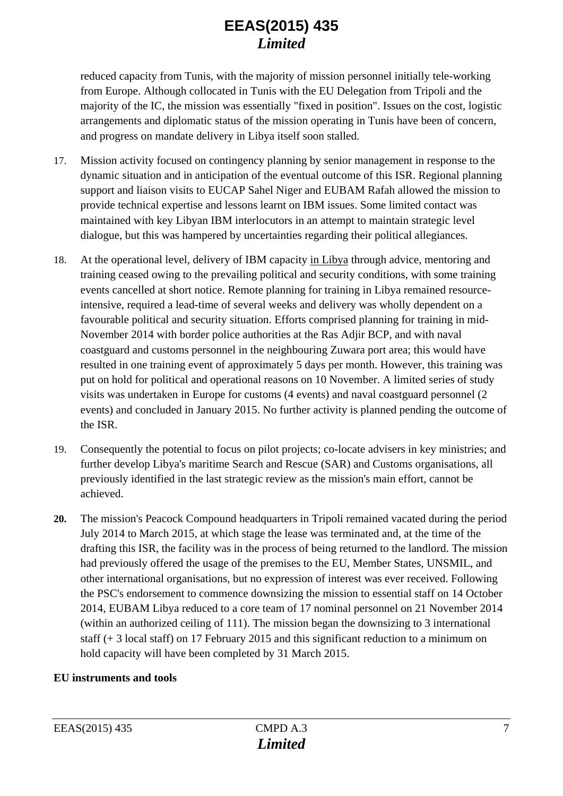reduced capacity from Tunis, with the majority of mission personnel initially tele-working from Europe. Although collocated in Tunis with the EU Delegation from Tripoli and the majority of the IC, the mission was essentially "fixed in position". Issues on the cost, logistic arrangements and diplomatic status of the mission operating in Tunis have been of concern, and progress on mandate delivery in Libya itself soon stalled.

- 17. Mission activity focused on contingency planning by senior management in response to the dynamic situation and in anticipation of the eventual outcome of this ISR. Regional planning support and liaison visits to EUCAP Sahel Niger and EUBAM Rafah allowed the mission to provide technical expertise and lessons learnt on IBM issues. Some limited contact was maintained with key Libyan IBM interlocutors in an attempt to maintain strategic level dialogue, but this was hampered by uncertainties regarding their political allegiances.
- 18. At the operational level, delivery of IBM capacity in Libya through advice, mentoring and training ceased owing to the prevailing political and security conditions, with some training events cancelled at short notice. Remote planning for training in Libya remained resourceintensive, required a lead-time of several weeks and delivery was wholly dependent on a favourable political and security situation. Efforts comprised planning for training in mid-November 2014 with border police authorities at the Ras Adjir BCP, and with naval coastguard and customs personnel in the neighbouring Zuwara port area; this would have resulted in one training event of approximately 5 days per month. However, this training was put on hold for political and operational reasons on 10 November. A limited series of study visits was undertaken in Europe for customs (4 events) and naval coastguard personnel (2 events) and concluded in January 2015. No further activity is planned pending the outcome of the ISR.
- 19. Consequently the potential to focus on pilot projects; co-locate advisers in key ministries; and further develop Libya's maritime Search and Rescue (SAR) and Customs organisations, all previously identified in the last strategic review as the mission's main effort, cannot be achieved.
- **20.** The mission's Peacock Compound headquarters in Tripoli remained vacated during the period July 2014 to March 2015, at which stage the lease was terminated and, at the time of the drafting this ISR, the facility was in the process of being returned to the landlord. The mission had previously offered the usage of the premises to the EU, Member States, UNSMIL, and other international organisations, but no expression of interest was ever received. Following the PSC's endorsement to commence downsizing the mission to essential staff on 14 October 2014, EUBAM Libya reduced to a core team of 17 nominal personnel on 21 November 2014 (within an authorized ceiling of 111). The mission began the downsizing to 3 international staff (+ 3 local staff) on 17 February 2015 and this significant reduction to a minimum on hold capacity will have been completed by 31 March 2015.

#### **EU instruments and tools**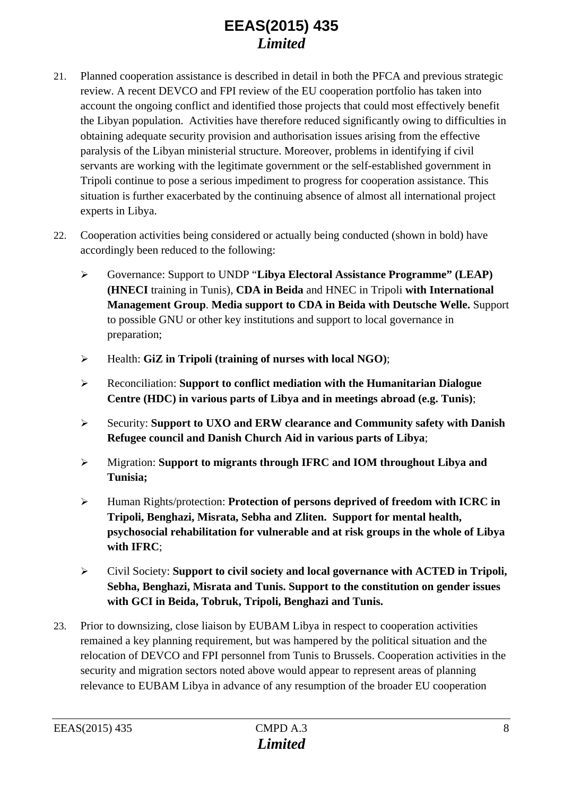- 21. Planned cooperation assistance is described in detail in both the PFCA and previous strategic review. A recent DEVCO and FPI review of the EU cooperation portfolio has taken into account the ongoing conflict and identified those projects that could most effectively benefit the Libyan population. Activities have therefore reduced significantly owing to difficulties in obtaining adequate security provision and authorisation issues arising from the effective paralysis of the Libyan ministerial structure. Moreover, problems in identifying if civil servants are working with the legitimate government or the self-established government in Tripoli continue to pose a serious impediment to progress for cooperation assistance. This situation is further exacerbated by the continuing absence of almost all international project experts in Libya.
- 22. Cooperation activities being considered or actually being conducted (shown in bold) have accordingly been reduced to the following:
	- Governance: Support to UNDP "**Libya Electoral Assistance Programme" (LEAP) (HNECI** training in Tunis), **CDA in Beida** and HNEC in Tripoli **with International Management Group**. **Media support to CDA in Beida with Deutsche Welle.** Support to possible GNU or other key institutions and support to local governance in preparation;
	- Health: **GiZ in Tripoli (training of nurses with local NGO)**;
	- Reconciliation: **Support to conflict mediation with the Humanitarian Dialogue Centre (HDC) in various parts of Libya and in meetings abroad (e.g. Tunis)**;
	- Security: **Support to UXO and ERW clearance and Community safety with Danish Refugee council and Danish Church Aid in various parts of Libya**;
	- Migration: **Support to migrants through IFRC and IOM throughout Libya and Tunisia;**
	- Human Rights/protection: **Protection of persons deprived of freedom with ICRC in Tripoli, Benghazi, Misrata, Sebha and Zliten. Support for mental health, psychosocial rehabilitation for vulnerable and at risk groups in the whole of Libya with IFRC**;
	- Civil Society: **Support to civil society and local governance with ACTED in Tripoli, Sebha, Benghazi, Misrata and Tunis. Support to the constitution on gender issues with GCI in Beida, Tobruk, Tripoli, Benghazi and Tunis.**
- 23. Prior to downsizing, close liaison by EUBAM Libya in respect to cooperation activities remained a key planning requirement, but was hampered by the political situation and the relocation of DEVCO and FPI personnel from Tunis to Brussels. Cooperation activities in the security and migration sectors noted above would appear to represent areas of planning relevance to EUBAM Libya in advance of any resumption of the broader EU cooperation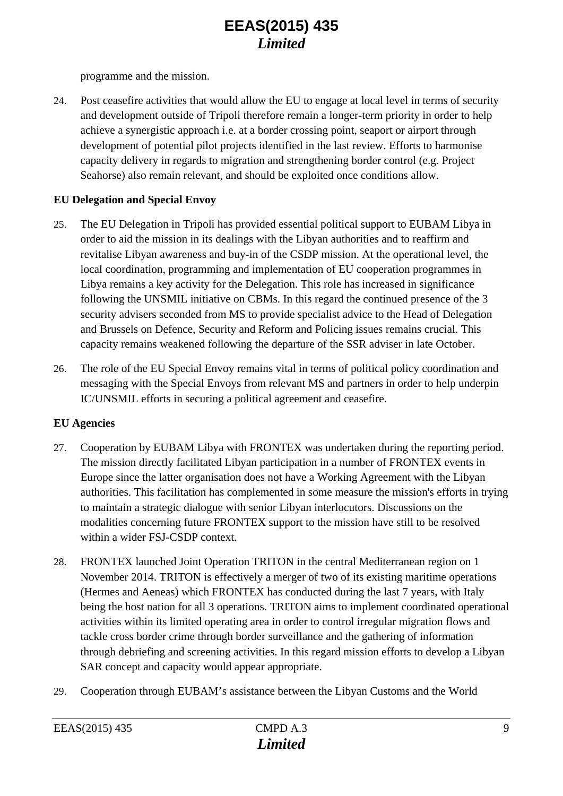programme and the mission.

24. Post ceasefire activities that would allow the EU to engage at local level in terms of security and development outside of Tripoli therefore remain a longer-term priority in order to help achieve a synergistic approach i.e. at a border crossing point, seaport or airport through development of potential pilot projects identified in the last review. Efforts to harmonise capacity delivery in regards to migration and strengthening border control (e.g. Project Seahorse) also remain relevant, and should be exploited once conditions allow.

#### **EU Delegation and Special Envoy**

- 25. The EU Delegation in Tripoli has provided essential political support to EUBAM Libya in order to aid the mission in its dealings with the Libyan authorities and to reaffirm and revitalise Libyan awareness and buy-in of the CSDP mission. At the operational level, the local coordination, programming and implementation of EU cooperation programmes in Libya remains a key activity for the Delegation. This role has increased in significance following the UNSMIL initiative on CBMs. In this regard the continued presence of the 3 security advisers seconded from MS to provide specialist advice to the Head of Delegation and Brussels on Defence, Security and Reform and Policing issues remains crucial. This capacity remains weakened following the departure of the SSR adviser in late October.
- 26. The role of the EU Special Envoy remains vital in terms of political policy coordination and messaging with the Special Envoys from relevant MS and partners in order to help underpin IC/UNSMIL efforts in securing a political agreement and ceasefire.

#### **EU Agencies**

- 27. Cooperation by EUBAM Libya with FRONTEX was undertaken during the reporting period. The mission directly facilitated Libyan participation in a number of FRONTEX events in Europe since the latter organisation does not have a Working Agreement with the Libyan authorities. This facilitation has complemented in some measure the mission's efforts in trying to maintain a strategic dialogue with senior Libyan interlocutors. Discussions on the modalities concerning future FRONTEX support to the mission have still to be resolved within a wider FSJ-CSDP context.
- 28. FRONTEX launched Joint Operation TRITON in the central Mediterranean region on 1 November 2014. TRITON is effectively a merger of two of its existing maritime operations (Hermes and Aeneas) which FRONTEX has conducted during the last 7 years, with Italy being the host nation for all 3 operations. TRITON aims to implement coordinated operational activities within its limited operating area in order to control irregular migration flows and tackle cross border crime through border surveillance and the gathering of information through debriefing and screening activities. In this regard mission efforts to develop a Libyan SAR concept and capacity would appear appropriate.
- 29. Cooperation through EUBAM's assistance between the Libyan Customs and the World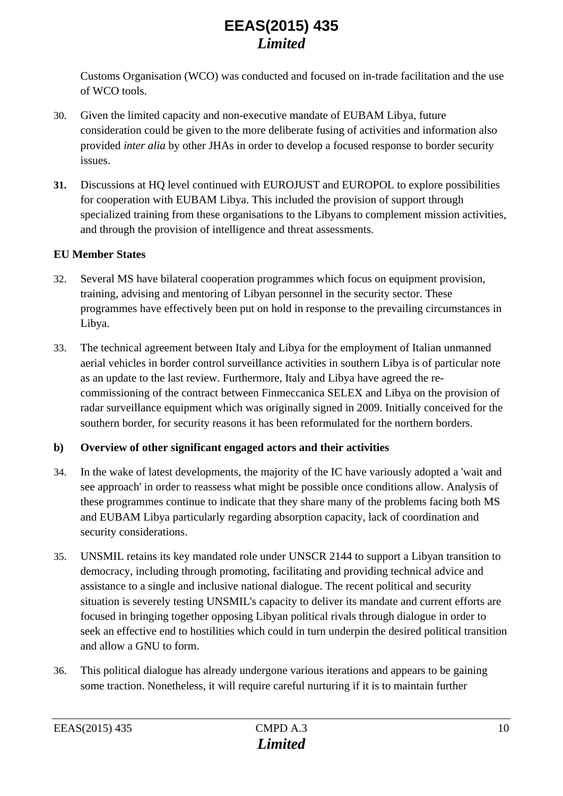Customs Organisation (WCO) was conducted and focused on in-trade facilitation and the use of WCO tools.

- 30. Given the limited capacity and non-executive mandate of EUBAM Libya, future consideration could be given to the more deliberate fusing of activities and information also provided *inter alia* by other JHAs in order to develop a focused response to border security issues.
- **31.** Discussions at HQ level continued with EUROJUST and EUROPOL to explore possibilities for cooperation with EUBAM Libya. This included the provision of support through specialized training from these organisations to the Libyans to complement mission activities, and through the provision of intelligence and threat assessments.

#### **EU Member States**

- 32. Several MS have bilateral cooperation programmes which focus on equipment provision, training, advising and mentoring of Libyan personnel in the security sector. These programmes have effectively been put on hold in response to the prevailing circumstances in Libya.
- 33. The technical agreement between Italy and Libya for the employment of Italian unmanned aerial vehicles in border control surveillance activities in southern Libya is of particular note as an update to the last review. Furthermore, Italy and Libya have agreed the recommissioning of the contract between Finmeccanica SELEX and Libya on the provision of radar surveillance equipment which was originally signed in 2009. Initially conceived for the southern border, for security reasons it has been reformulated for the northern borders.

### **b) Overview of other significant engaged actors and their activities**

- 34. In the wake of latest developments, the majority of the IC have variously adopted a 'wait and see approach' in order to reassess what might be possible once conditions allow. Analysis of these programmes continue to indicate that they share many of the problems facing both MS and EUBAM Libya particularly regarding absorption capacity, lack of coordination and security considerations.
- 35. UNSMIL retains its key mandated role under UNSCR 2144 to support a Libyan transition to democracy, including through promoting, facilitating and providing technical advice and assistance to a single and inclusive national dialogue. The recent political and security situation is severely testing UNSMIL's capacity to deliver its mandate and current efforts are focused in bringing together opposing Libyan political rivals through dialogue in order to seek an effective end to hostilities which could in turn underpin the desired political transition and allow a GNU to form.
- 36. This political dialogue has already undergone various iterations and appears to be gaining some traction. Nonetheless, it will require careful nurturing if it is to maintain further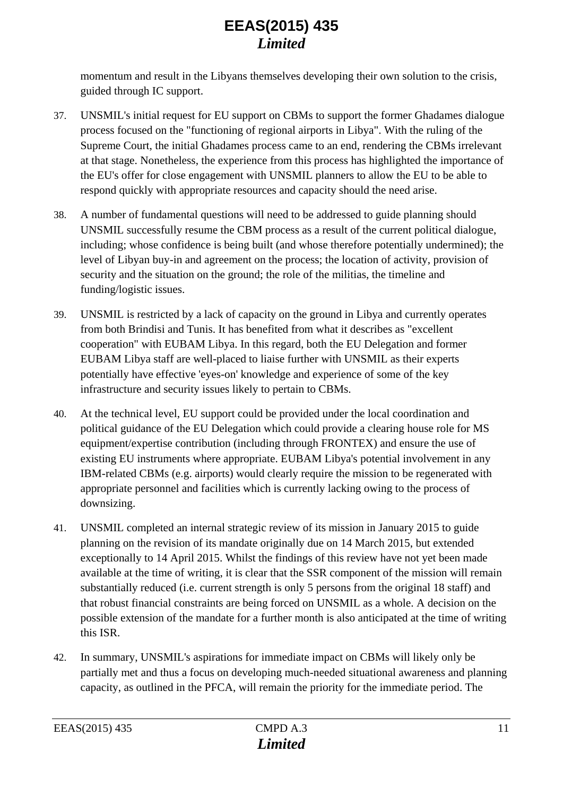momentum and result in the Libyans themselves developing their own solution to the crisis, guided through IC support.

- 37. UNSMIL's initial request for EU support on CBMs to support the former Ghadames dialogue process focused on the "functioning of regional airports in Libya". With the ruling of the Supreme Court, the initial Ghadames process came to an end, rendering the CBMs irrelevant at that stage. Nonetheless, the experience from this process has highlighted the importance of the EU's offer for close engagement with UNSMIL planners to allow the EU to be able to respond quickly with appropriate resources and capacity should the need arise.
- 38. A number of fundamental questions will need to be addressed to guide planning should UNSMIL successfully resume the CBM process as a result of the current political dialogue, including; whose confidence is being built (and whose therefore potentially undermined); the level of Libyan buy-in and agreement on the process; the location of activity, provision of security and the situation on the ground; the role of the militias, the timeline and funding/logistic issues.
- 39. UNSMIL is restricted by a lack of capacity on the ground in Libya and currently operates from both Brindisi and Tunis. It has benefited from what it describes as "excellent cooperation" with EUBAM Libya. In this regard, both the EU Delegation and former EUBAM Libya staff are well-placed to liaise further with UNSMIL as their experts potentially have effective 'eyes-on' knowledge and experience of some of the key infrastructure and security issues likely to pertain to CBMs.
- 40. At the technical level, EU support could be provided under the local coordination and political guidance of the EU Delegation which could provide a clearing house role for MS equipment/expertise contribution (including through FRONTEX) and ensure the use of existing EU instruments where appropriate. EUBAM Libya's potential involvement in any IBM-related CBMs (e.g. airports) would clearly require the mission to be regenerated with appropriate personnel and facilities which is currently lacking owing to the process of downsizing.
- 41. UNSMIL completed an internal strategic review of its mission in January 2015 to guide planning on the revision of its mandate originally due on 14 March 2015, but extended exceptionally to 14 April 2015. Whilst the findings of this review have not yet been made available at the time of writing, it is clear that the SSR component of the mission will remain substantially reduced (i.e. current strength is only 5 persons from the original 18 staff) and that robust financial constraints are being forced on UNSMIL as a whole. A decision on the possible extension of the mandate for a further month is also anticipated at the time of writing this ISR.
- 42. In summary, UNSMIL's aspirations for immediate impact on CBMs will likely only be partially met and thus a focus on developing much-needed situational awareness and planning capacity, as outlined in the PFCA, will remain the priority for the immediate period. The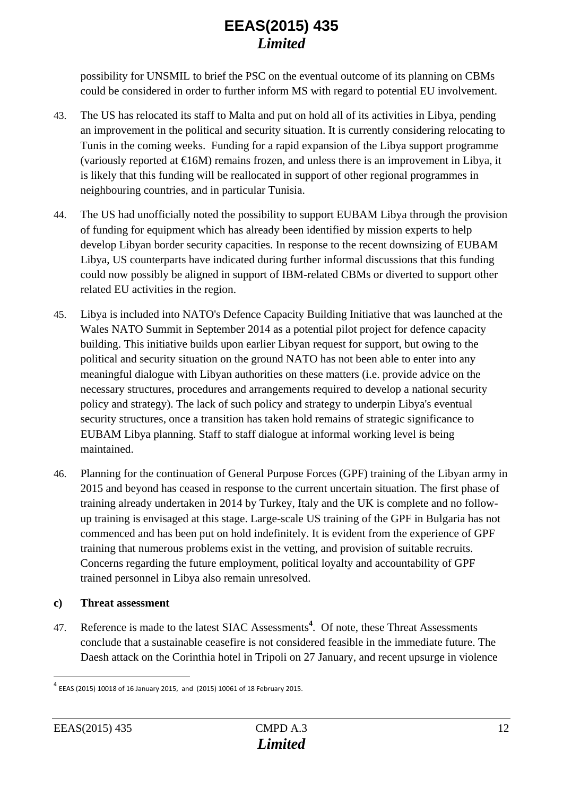possibility for UNSMIL to brief the PSC on the eventual outcome of its planning on CBMs could be considered in order to further inform MS with regard to potential EU involvement.

- 43. The US has relocated its staff to Malta and put on hold all of its activities in Libya, pending an improvement in the political and security situation. It is currently considering relocating to Tunis in the coming weeks. Funding for a rapid expansion of the Libya support programme (variously reported at  $\in$  6M) remains frozen, and unless there is an improvement in Libya, it is likely that this funding will be reallocated in support of other regional programmes in neighbouring countries, and in particular Tunisia.
- 44. The US had unofficially noted the possibility to support EUBAM Libya through the provision of funding for equipment which has already been identified by mission experts to help develop Libyan border security capacities. In response to the recent downsizing of EUBAM Libya, US counterparts have indicated during further informal discussions that this funding could now possibly be aligned in support of IBM-related CBMs or diverted to support other related EU activities in the region.
- 45. Libya is included into NATO's Defence Capacity Building Initiative that was launched at the Wales NATO Summit in September 2014 as a potential pilot project for defence capacity building. This initiative builds upon earlier Libyan request for support, but owing to the political and security situation on the ground NATO has not been able to enter into any meaningful dialogue with Libyan authorities on these matters (i.e. provide advice on the necessary structures, procedures and arrangements required to develop a national security policy and strategy). The lack of such policy and strategy to underpin Libya's eventual security structures, once a transition has taken hold remains of strategic significance to EUBAM Libya planning. Staff to staff dialogue at informal working level is being maintained.
- 46. Planning for the continuation of General Purpose Forces (GPF) training of the Libyan army in 2015 and beyond has ceased in response to the current uncertain situation. The first phase of training already undertaken in 2014 by Turkey, Italy and the UK is complete and no followup training is envisaged at this stage. Large-scale US training of the GPF in Bulgaria has not commenced and has been put on hold indefinitely. It is evident from the experience of GPF training that numerous problems exist in the vetting, and provision of suitable recruits. Concerns regarding the future employment, political loyalty and accountability of GPF trained personnel in Libya also remain unresolved.

#### **c) Threat assessment**

47. Reference is made to the latest SIAC Assessments**<sup>4</sup>** . Of note, these Threat Assessments conclude that a sustainable ceasefire is not considered feasible in the immediate future. The Daesh attack on the Corinthia hotel in Tripoli on 27 January, and recent upsurge in violence

 $\overline{a}$ 

<sup>4</sup> EEAS (2015) <sup>10018</sup> of <sup>16</sup> January 2015, and (2015) <sup>10061</sup> of <sup>18</sup> February 2015.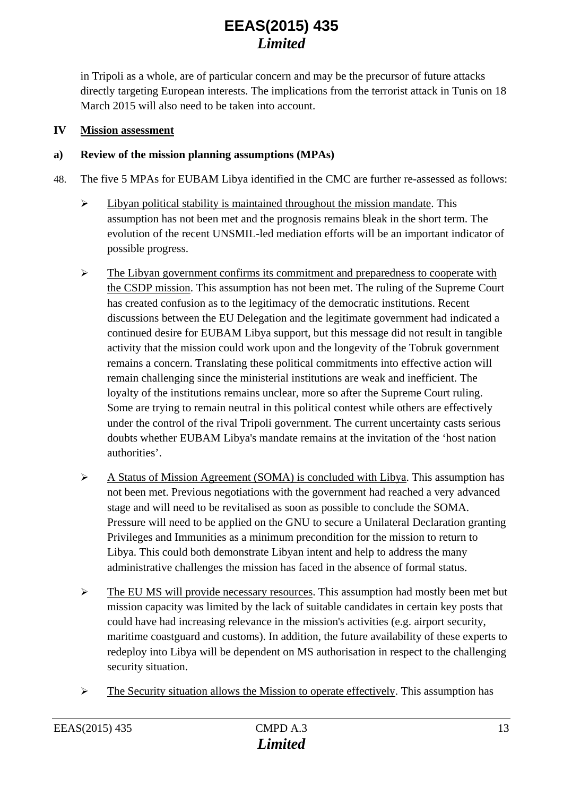in Tripoli as a whole, are of particular concern and may be the precursor of future attacks directly targeting European interests. The implications from the terrorist attack in Tunis on 18 March 2015 will also need to be taken into account.

#### **IV Mission assessment**

#### **a) Review of the mission planning assumptions (MPAs)**

- 48. The five 5 MPAs for EUBAM Libya identified in the CMC are further re-assessed as follows:
	- $\triangleright$  Libyan political stability is maintained throughout the mission mandate. This assumption has not been met and the prognosis remains bleak in the short term. The evolution of the recent UNSMIL-led mediation efforts will be an important indicator of possible progress.
	- $\triangleright$  The Libyan government confirms its commitment and preparedness to cooperate with the CSDP mission. This assumption has not been met. The ruling of the Supreme Court has created confusion as to the legitimacy of the democratic institutions. Recent discussions between the EU Delegation and the legitimate government had indicated a continued desire for EUBAM Libya support, but this message did not result in tangible activity that the mission could work upon and the longevity of the Tobruk government remains a concern. Translating these political commitments into effective action will remain challenging since the ministerial institutions are weak and inefficient. The loyalty of the institutions remains unclear, more so after the Supreme Court ruling. Some are trying to remain neutral in this political contest while others are effectively under the control of the rival Tripoli government. The current uncertainty casts serious doubts whether EUBAM Libya's mandate remains at the invitation of the 'host nation authorities'.
	- $\triangleright$  A Status of Mission Agreement (SOMA) is concluded with Libya. This assumption has not been met. Previous negotiations with the government had reached a very advanced stage and will need to be revitalised as soon as possible to conclude the SOMA. Pressure will need to be applied on the GNU to secure a Unilateral Declaration granting Privileges and Immunities as a minimum precondition for the mission to return to Libya. This could both demonstrate Libyan intent and help to address the many administrative challenges the mission has faced in the absence of formal status.
	- $\triangleright$  The EU MS will provide necessary resources. This assumption had mostly been met but mission capacity was limited by the lack of suitable candidates in certain key posts that could have had increasing relevance in the mission's activities (e.g. airport security, maritime coastguard and customs). In addition, the future availability of these experts to redeploy into Libya will be dependent on MS authorisation in respect to the challenging security situation.
	- $\triangleright$  The Security situation allows the Mission to operate effectively. This assumption has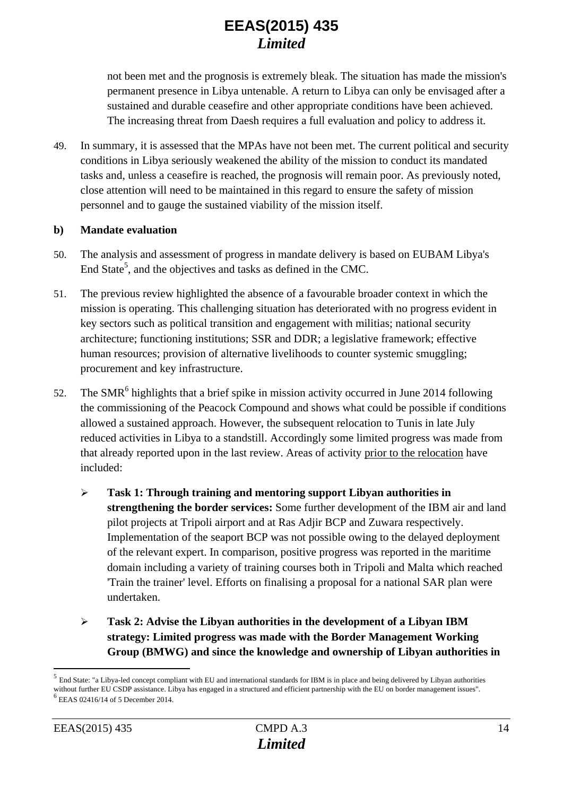not been met and the prognosis is extremely bleak. The situation has made the mission's permanent presence in Libya untenable. A return to Libya can only be envisaged after a sustained and durable ceasefire and other appropriate conditions have been achieved. The increasing threat from Daesh requires a full evaluation and policy to address it.

49. In summary, it is assessed that the MPAs have not been met. The current political and security conditions in Libya seriously weakened the ability of the mission to conduct its mandated tasks and, unless a ceasefire is reached, the prognosis will remain poor. As previously noted, close attention will need to be maintained in this regard to ensure the safety of mission personnel and to gauge the sustained viability of the mission itself.

#### **b) Mandate evaluation**

- 50. The analysis and assessment of progress in mandate delivery is based on EUBAM Libya's End State<sup>5</sup>, and the objectives and tasks as defined in the CMC.
- 51. The previous review highlighted the absence of a favourable broader context in which the mission is operating. This challenging situation has deteriorated with no progress evident in key sectors such as political transition and engagement with militias; national security architecture; functioning institutions; SSR and DDR; a legislative framework; effective human resources; provision of alternative livelihoods to counter systemic smuggling; procurement and key infrastructure.
- 52. The SMR<sup>6</sup> highlights that a brief spike in mission activity occurred in June 2014 following the commissioning of the Peacock Compound and shows what could be possible if conditions allowed a sustained approach. However, the subsequent relocation to Tunis in late July reduced activities in Libya to a standstill. Accordingly some limited progress was made from that already reported upon in the last review. Areas of activity prior to the relocation have included:
	- **Task 1: Through training and mentoring support Libyan authorities in strengthening the border services:** Some further development of the IBM air and land pilot projects at Tripoli airport and at Ras Adjir BCP and Zuwara respectively. Implementation of the seaport BCP was not possible owing to the delayed deployment of the relevant expert. In comparison, positive progress was reported in the maritime domain including a variety of training courses both in Tripoli and Malta which reached 'Train the trainer' level. Efforts on finalising a proposal for a national SAR plan were undertaken.
	- **Task 2: Advise the Libyan authorities in the development of a Libyan IBM strategy: Limited progress was made with the Border Management Working Group (BMWG) and since the knowledge and ownership of Libyan authorities in**

 $\overline{a}$ 

 $<sup>5</sup>$  End State: "a Libya-led concept compliant with EU and international standards for IBM is in place and being delivered by Libyan authorities</sup> without further EU CSDP assistance. Libya has engaged in a structured and efficient partnership with the EU on border management issues".

EEAS 02416/14 of 5 December 2014.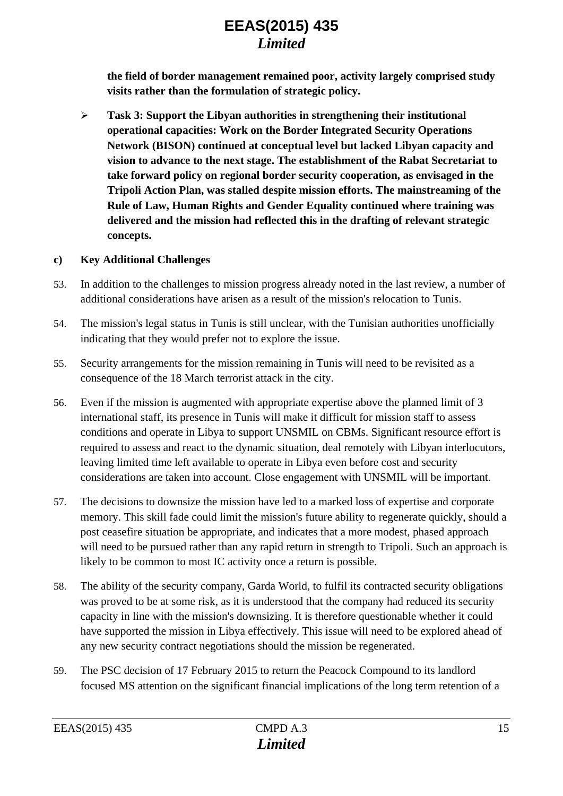**the field of border management remained poor, activity largely comprised study visits rather than the formulation of strategic policy.** 

 **Task 3: Support the Libyan authorities in strengthening their institutional operational capacities: Work on the Border Integrated Security Operations Network (BISON) continued at conceptual level but lacked Libyan capacity and vision to advance to the next stage. The establishment of the Rabat Secretariat to take forward policy on regional border security cooperation, as envisaged in the Tripoli Action Plan, was stalled despite mission efforts. The mainstreaming of the Rule of Law, Human Rights and Gender Equality continued where training was delivered and the mission had reflected this in the drafting of relevant strategic concepts.** 

#### **c) Key Additional Challenges**

- 53. In addition to the challenges to mission progress already noted in the last review, a number of additional considerations have arisen as a result of the mission's relocation to Tunis.
- 54. The mission's legal status in Tunis is still unclear, with the Tunisian authorities unofficially indicating that they would prefer not to explore the issue.
- 55. Security arrangements for the mission remaining in Tunis will need to be revisited as a consequence of the 18 March terrorist attack in the city.
- 56. Even if the mission is augmented with appropriate expertise above the planned limit of 3 international staff, its presence in Tunis will make it difficult for mission staff to assess conditions and operate in Libya to support UNSMIL on CBMs. Significant resource effort is required to assess and react to the dynamic situation, deal remotely with Libyan interlocutors, leaving limited time left available to operate in Libya even before cost and security considerations are taken into account. Close engagement with UNSMIL will be important.
- 57. The decisions to downsize the mission have led to a marked loss of expertise and corporate memory. This skill fade could limit the mission's future ability to regenerate quickly, should a post ceasefire situation be appropriate, and indicates that a more modest, phased approach will need to be pursued rather than any rapid return in strength to Tripoli. Such an approach is likely to be common to most IC activity once a return is possible.
- 58. The ability of the security company, Garda World, to fulfil its contracted security obligations was proved to be at some risk, as it is understood that the company had reduced its security capacity in line with the mission's downsizing. It is therefore questionable whether it could have supported the mission in Libya effectively. This issue will need to be explored ahead of any new security contract negotiations should the mission be regenerated.
- 59. The PSC decision of 17 February 2015 to return the Peacock Compound to its landlord focused MS attention on the significant financial implications of the long term retention of a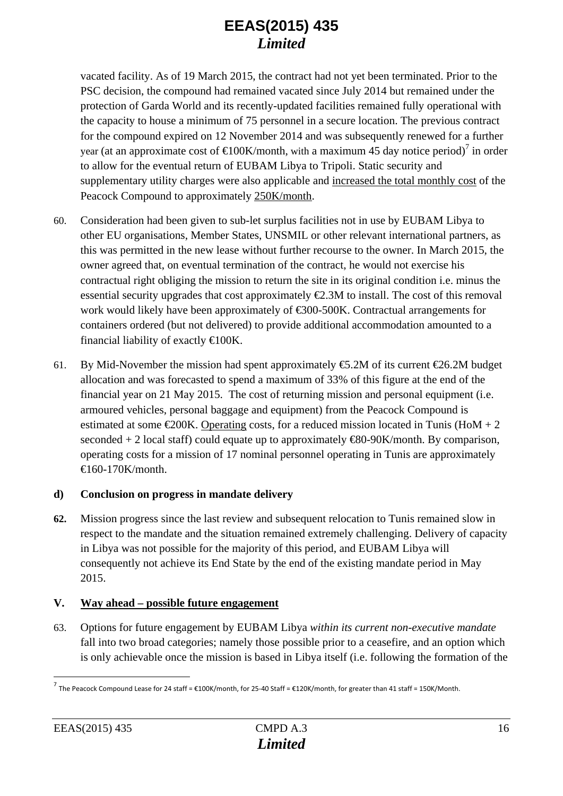vacated facility. As of 19 March 2015, the contract had not yet been terminated. Prior to the PSC decision, the compound had remained vacated since July 2014 but remained under the protection of Garda World and its recently-updated facilities remained fully operational with the capacity to house a minimum of 75 personnel in a secure location. The previous contract for the compound expired on 12 November 2014 and was subsequently renewed for a further year (at an approximate cost of  $\epsilon 100K/m$ onth, with a maximum 45 day notice period)<sup>7</sup> in order to allow for the eventual return of EUBAM Libya to Tripoli. Static security and supplementary utility charges were also applicable and increased the total monthly cost of the Peacock Compound to approximately 250K/month.

- 60. Consideration had been given to sub-let surplus facilities not in use by EUBAM Libya to other EU organisations, Member States, UNSMIL or other relevant international partners, as this was permitted in the new lease without further recourse to the owner. In March 2015, the owner agreed that, on eventual termination of the contract, he would not exercise his contractual right obliging the mission to return the site in its original condition i.e. minus the essential security upgrades that cost approximately  $\epsilon$ 2.3M to install. The cost of this removal work would likely have been approximately of €300-500K. Contractual arrangements for containers ordered (but not delivered) to provide additional accommodation amounted to a financial liability of exactly  $\bigoplus$  00K.
- 61. By Mid-November the mission had spent approximately  $\epsilon$  5.2M of its current  $\epsilon$ 26.2M budget allocation and was forecasted to spend a maximum of 33% of this figure at the end of the financial year on 21 May 2015. The cost of returning mission and personal equipment (i.e. armoured vehicles, personal baggage and equipment) from the Peacock Compound is estimated at some  $\epsilon$ 200K. Operating costs, for a reduced mission located in Tunis (HoM + 2) seconded + 2 local staff) could equate up to approximately  $\bigoplus$  90-90K/month. By comparison, operating costs for a mission of 17 nominal personnel operating in Tunis are approximately €160-170K/month.

### **d) Conclusion on progress in mandate delivery**

**62.** Mission progress since the last review and subsequent relocation to Tunis remained slow in respect to the mandate and the situation remained extremely challenging. Delivery of capacity in Libya was not possible for the majority of this period, and EUBAM Libya will consequently not achieve its End State by the end of the existing mandate period in May 2015.

#### **V. Way ahead – possible future engagement**

63. Options for future engagement by EUBAM Libya *within its current non-executive mandate*  fall into two broad categories; namely those possible prior to a ceasefire, and an option which is only achievable once the mission is based in Libya itself (i.e. following the formation of the

 $\overline{a}$ 

<sup>7</sup> The Peacock Compound Lease for 24 staff = €100K/month, for 25-40 Staff = €120K/month, for greater than 41 staff = 150K/Month.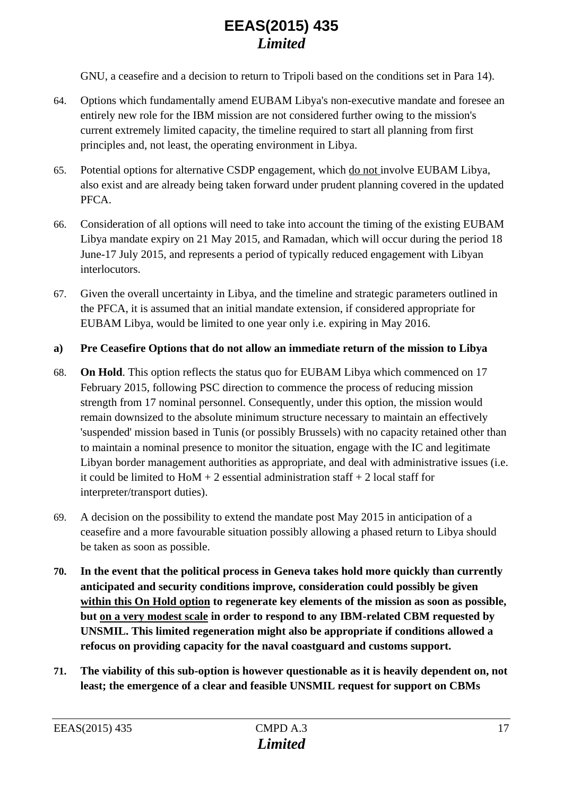GNU, a ceasefire and a decision to return to Tripoli based on the conditions set in Para 14).

- 64. Options which fundamentally amend EUBAM Libya's non-executive mandate and foresee an entirely new role for the IBM mission are not considered further owing to the mission's current extremely limited capacity, the timeline required to start all planning from first principles and, not least, the operating environment in Libya.
- 65. Potential options for alternative CSDP engagement, which do not involve EUBAM Libya, also exist and are already being taken forward under prudent planning covered in the updated PFCA.
- 66. Consideration of all options will need to take into account the timing of the existing EUBAM Libya mandate expiry on 21 May 2015, and Ramadan, which will occur during the period 18 June-17 July 2015, and represents a period of typically reduced engagement with Libyan interlocutors.
- 67. Given the overall uncertainty in Libya, and the timeline and strategic parameters outlined in the PFCA, it is assumed that an initial mandate extension, if considered appropriate for EUBAM Libya, would be limited to one year only i.e. expiring in May 2016.

### **a) Pre Ceasefire Options that do not allow an immediate return of the mission to Libya**

- 68. **On Hold**. This option reflects the status quo for EUBAM Libya which commenced on 17 February 2015, following PSC direction to commence the process of reducing mission strength from 17 nominal personnel. Consequently, under this option, the mission would remain downsized to the absolute minimum structure necessary to maintain an effectively 'suspended' mission based in Tunis (or possibly Brussels) with no capacity retained other than to maintain a nominal presence to monitor the situation, engage with the IC and legitimate Libyan border management authorities as appropriate, and deal with administrative issues (i.e. it could be limited to  $H \circ M + 2$  essential administration staff + 2 local staff for interpreter/transport duties).
- 69. A decision on the possibility to extend the mandate post May 2015 in anticipation of a ceasefire and a more favourable situation possibly allowing a phased return to Libya should be taken as soon as possible.
- **70. In the event that the political process in Geneva takes hold more quickly than currently anticipated and security conditions improve, consideration could possibly be given within this On Hold option to regenerate key elements of the mission as soon as possible, but on a very modest scale in order to respond to any IBM-related CBM requested by UNSMIL. This limited regeneration might also be appropriate if conditions allowed a refocus on providing capacity for the naval coastguard and customs support.**
- **71. The viability of this sub-option is however questionable as it is heavily dependent on, not least; the emergence of a clear and feasible UNSMIL request for support on CBMs**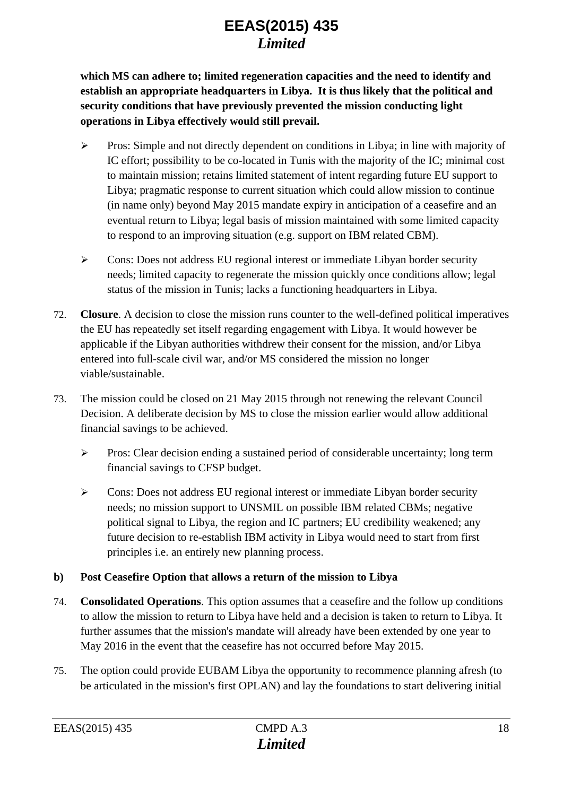**which MS can adhere to; limited regeneration capacities and the need to identify and establish an appropriate headquarters in Libya. It is thus likely that the political and security conditions that have previously prevented the mission conducting light operations in Libya effectively would still prevail.** 

- $\triangleright$  Pros: Simple and not directly dependent on conditions in Libya; in line with majority of IC effort; possibility to be co-located in Tunis with the majority of the IC; minimal cost to maintain mission; retains limited statement of intent regarding future EU support to Libya; pragmatic response to current situation which could allow mission to continue (in name only) beyond May 2015 mandate expiry in anticipation of a ceasefire and an eventual return to Libya; legal basis of mission maintained with some limited capacity to respond to an improving situation (e.g. support on IBM related CBM).
- $\triangleright$  Cons: Does not address EU regional interest or immediate Libyan border security needs; limited capacity to regenerate the mission quickly once conditions allow; legal status of the mission in Tunis; lacks a functioning headquarters in Libya.
- 72. **Closure**. A decision to close the mission runs counter to the well-defined political imperatives the EU has repeatedly set itself regarding engagement with Libya. It would however be applicable if the Libyan authorities withdrew their consent for the mission, and/or Libya entered into full-scale civil war, and/or MS considered the mission no longer viable/sustainable.
- 73. The mission could be closed on 21 May 2015 through not renewing the relevant Council Decision. A deliberate decision by MS to close the mission earlier would allow additional financial savings to be achieved.
	- $\triangleright$  Pros: Clear decision ending a sustained period of considerable uncertainty; long term financial savings to CFSP budget.
	- Cons: Does not address EU regional interest or immediate Libyan border security needs; no mission support to UNSMIL on possible IBM related CBMs; negative political signal to Libya, the region and IC partners; EU credibility weakened; any future decision to re-establish IBM activity in Libya would need to start from first principles i.e. an entirely new planning process.
- **b) Post Ceasefire Option that allows a return of the mission to Libya**
- 74. **Consolidated Operations**. This option assumes that a ceasefire and the follow up conditions to allow the mission to return to Libya have held and a decision is taken to return to Libya. It further assumes that the mission's mandate will already have been extended by one year to May 2016 in the event that the ceasefire has not occurred before May 2015.
- 75. The option could provide EUBAM Libya the opportunity to recommence planning afresh (to be articulated in the mission's first OPLAN) and lay the foundations to start delivering initial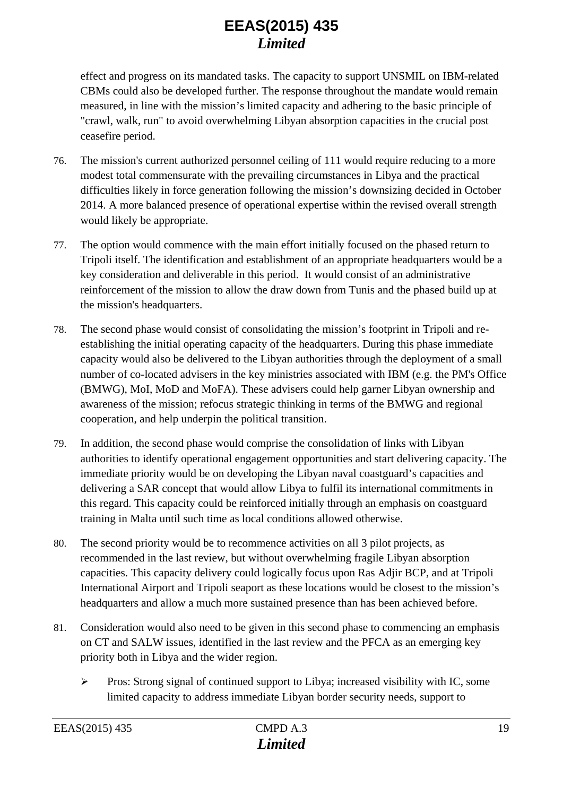effect and progress on its mandated tasks. The capacity to support UNSMIL on IBM-related CBMs could also be developed further. The response throughout the mandate would remain measured, in line with the mission's limited capacity and adhering to the basic principle of "crawl, walk, run" to avoid overwhelming Libyan absorption capacities in the crucial post ceasefire period.

- 76. The mission's current authorized personnel ceiling of 111 would require reducing to a more modest total commensurate with the prevailing circumstances in Libya and the practical difficulties likely in force generation following the mission's downsizing decided in October 2014. A more balanced presence of operational expertise within the revised overall strength would likely be appropriate.
- 77. The option would commence with the main effort initially focused on the phased return to Tripoli itself. The identification and establishment of an appropriate headquarters would be a key consideration and deliverable in this period. It would consist of an administrative reinforcement of the mission to allow the draw down from Tunis and the phased build up at the mission's headquarters.
- 78. The second phase would consist of consolidating the mission's footprint in Tripoli and reestablishing the initial operating capacity of the headquarters. During this phase immediate capacity would also be delivered to the Libyan authorities through the deployment of a small number of co-located advisers in the key ministries associated with IBM (e.g. the PM's Office (BMWG), MoI, MoD and MoFA). These advisers could help garner Libyan ownership and awareness of the mission; refocus strategic thinking in terms of the BMWG and regional cooperation, and help underpin the political transition.
- 79. In addition, the second phase would comprise the consolidation of links with Libyan authorities to identify operational engagement opportunities and start delivering capacity. The immediate priority would be on developing the Libyan naval coastguard's capacities and delivering a SAR concept that would allow Libya to fulfil its international commitments in this regard. This capacity could be reinforced initially through an emphasis on coastguard training in Malta until such time as local conditions allowed otherwise.
- 80. The second priority would be to recommence activities on all 3 pilot projects, as recommended in the last review, but without overwhelming fragile Libyan absorption capacities. This capacity delivery could logically focus upon Ras Adjir BCP, and at Tripoli International Airport and Tripoli seaport as these locations would be closest to the mission's headquarters and allow a much more sustained presence than has been achieved before.
- 81. Consideration would also need to be given in this second phase to commencing an emphasis on CT and SALW issues, identified in the last review and the PFCA as an emerging key priority both in Libya and the wider region.
	- $\triangleright$  Pros: Strong signal of continued support to Libya; increased visibility with IC, some limited capacity to address immediate Libyan border security needs, support to